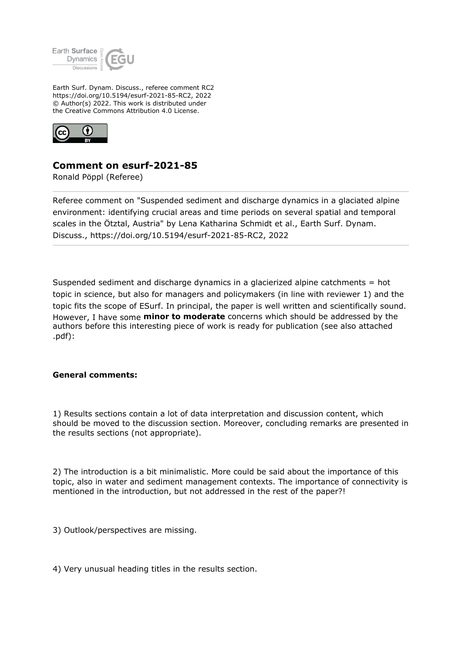

Earth Surf. Dynam. Discuss., referee comment RC2 https://doi.org/10.5194/esurf-2021-85-RC2, 2022 © Author(s) 2022. This work is distributed under the Creative Commons Attribution 4.0 License.



## **Comment on esurf-2021-85**

Ronald Pöppl (Referee)

Referee comment on "Suspended sediment and discharge dynamics in a glaciated alpine environment: identifying crucial areas and time periods on several spatial and temporal scales in the Ötztal, Austria" by Lena Katharina Schmidt et al., Earth Surf. Dynam. Discuss., https://doi.org/10.5194/esurf-2021-85-RC2, 2022

Suspended sediment and discharge dynamics in a glacierized alpine catchments = hot topic in science, but also for managers and policymakers (in line with reviewer 1) and the topic fits the scope of ESurf. In principal, the paper is well written and scientifically sound. However, I have some **minor to moderate** concerns which should be addressed by the authors before this interesting piece of work is ready for publication (see also attached .pdf):

## **General comments:**

1) Results sections contain a lot of data interpretation and discussion content, which should be moved to the discussion section. Moreover, concluding remarks are presented in the results sections (not appropriate).

2) The introduction is a bit minimalistic. More could be said about the importance of this topic, also in water and sediment management contexts. The importance of connectivity is mentioned in the introduction, but not addressed in the rest of the paper?!

3) Outlook/perspectives are missing.

4) Very unusual heading titles in the results section.